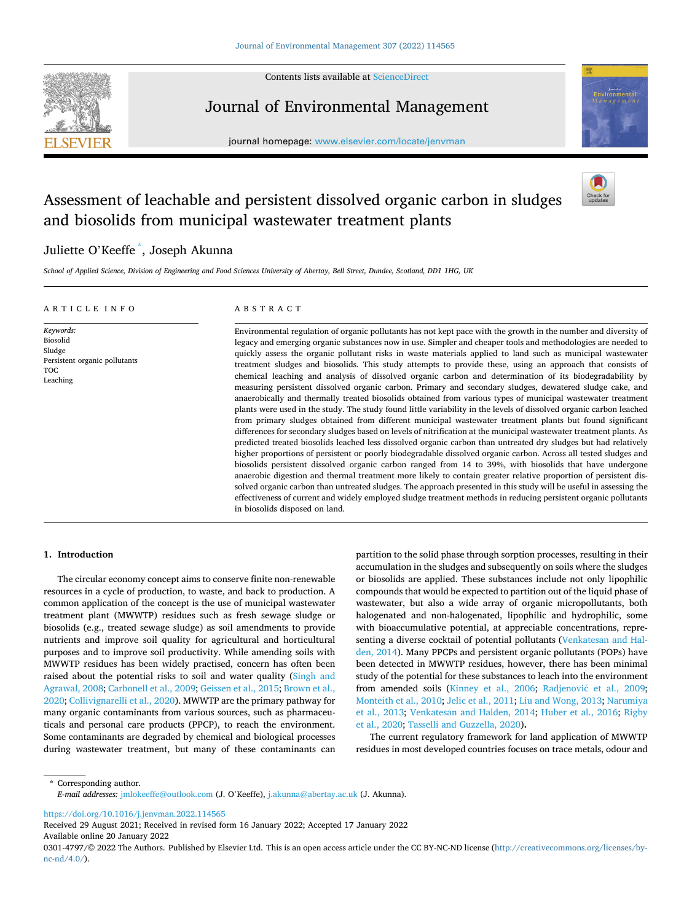Contents lists available at [ScienceDirect](www.sciencedirect.com/science/journal/03014797)



Journal of Environmental Management

journal homepage: [www.elsevier.com/locate/jenvman](https://www.elsevier.com/locate/jenvman) 



# Assessment of leachable and persistent dissolved organic carbon in sludges and biosolids from municipal wastewater treatment plants



## Juliette O'Keeffe \* , Joseph Akunna

*School of Applied Science, Division of Engineering and Food Sciences University of Abertay, Bell Street, Dundee, Scotland, DD1 1HG, UK* 

#### ARTICLE INFO

Persistent organic pollutants

*Keywords:*  Biosolid Sludge

TOC Leaching

## ABSTRACT

Environmental regulation of organic pollutants has not kept pace with the growth in the number and diversity of legacy and emerging organic substances now in use. Simpler and cheaper tools and methodologies are needed to quickly assess the organic pollutant risks in waste materials applied to land such as municipal wastewater treatment sludges and biosolids. This study attempts to provide these, using an approach that consists of chemical leaching and analysis of dissolved organic carbon and determination of its biodegradability by measuring persistent dissolved organic carbon. Primary and secondary sludges, dewatered sludge cake, and anaerobically and thermally treated biosolids obtained from various types of municipal wastewater treatment plants were used in the study. The study found little variability in the levels of dissolved organic carbon leached from primary sludges obtained from different municipal wastewater treatment plants but found significant differences for secondary sludges based on levels of nitrification at the municipal wastewater treatment plants. As predicted treated biosolids leached less dissolved organic carbon than untreated dry sludges but had relatively higher proportions of persistent or poorly biodegradable dissolved organic carbon. Across all tested sludges and biosolids persistent dissolved organic carbon ranged from 14 to 39%, with biosolids that have undergone anaerobic digestion and thermal treatment more likely to contain greater relative proportion of persistent dissolved organic carbon than untreated sludges. The approach presented in this study will be useful in assessing the effectiveness of current and widely employed sludge treatment methods in reducing persistent organic pollutants in biosolids disposed on land.

## **1. Introduction**

The circular economy concept aims to conserve finite non-renewable resources in a cycle of production, to waste, and back to production. A common application of the concept is the use of municipal wastewater treatment plant (MWWTP) residues such as fresh sewage sludge or biosolids (e.g., treated sewage sludge) as soil amendments to provide nutrients and improve soil quality for agricultural and horticultural purposes and to improve soil productivity. While amending soils with MWWTP residues has been widely practised, concern has often been raised about the potential risks to soil and water quality [\(Singh and](#page-8-0)  [Agrawal, 2008](#page-8-0); [Carbonell et al., 2009](#page-8-0); [Geissen et al., 2015](#page-8-0); [Brown et al.,](#page-8-0)  [2020; Collivignarelli et al., 2020\)](#page-8-0). MWWTP are the primary pathway for many organic contaminants from various sources, such as pharmaceuticals and personal care products (PPCP), to reach the environment. Some contaminants are degraded by chemical and biological processes during wastewater treatment, but many of these contaminants can partition to the solid phase through sorption processes, resulting in their accumulation in the sludges and subsequently on soils where the sludges or biosolids are applied. These substances include not only lipophilic compounds that would be expected to partition out of the liquid phase of wastewater, but also a wide array of organic micropollutants, both halogenated and non-halogenated, lipophilic and hydrophilic, some with bioaccumulative potential, at appreciable concentrations, representing a diverse cocktail of potential pollutants ([Venkatesan and Hal](#page-8-0)[den, 2014](#page-8-0)). Many PPCPs and persistent organic pollutants (POPs) have been detected in MWWTP residues, however, there has been minimal study of the potential for these substances to leach into the environment from amended soils [\(Kinney et al., 2006;](#page-8-0) Radjenović et al., 2009; [Monteith et al., 2010; Jelic et al., 2011; Liu and Wong, 2013](#page-8-0); [Narumiya](#page-8-0)  [et al., 2013;](#page-8-0) [Venkatesan and Halden, 2014;](#page-8-0) [Huber et al., 2016](#page-8-0); [Rigby](#page-8-0)  [et al., 2020; Tasselli and Guzzella, 2020](#page-8-0))**.** 

The current regulatory framework for land application of MWWTP residues in most developed countries focuses on trace metals, odour and

\* Corresponding author. *E-mail addresses:* [jmlokeeffe@outlook.com](mailto:jmlokeeffe@outlook.com) (J. O'Keeffe), [j.akunna@abertay.ac.uk](mailto:j.akunna@abertay.ac.uk) (J. Akunna).

<https://doi.org/10.1016/j.jenvman.2022.114565>

Available online 20 January 2022 Received 29 August 2021; Received in revised form 16 January 2022; Accepted 17 January 2022

<sup>0301-4797/©</sup>2022 The Authors. Published by Elsevier Ltd. This is an open access article under the CC BY-NC-ND license ([http://creativecommons.org/licenses/by](http://creativecommons.org/licenses/by-nc-nd/4.0/)[nc-nd/4.0/](http://creativecommons.org/licenses/by-nc-nd/4.0/)).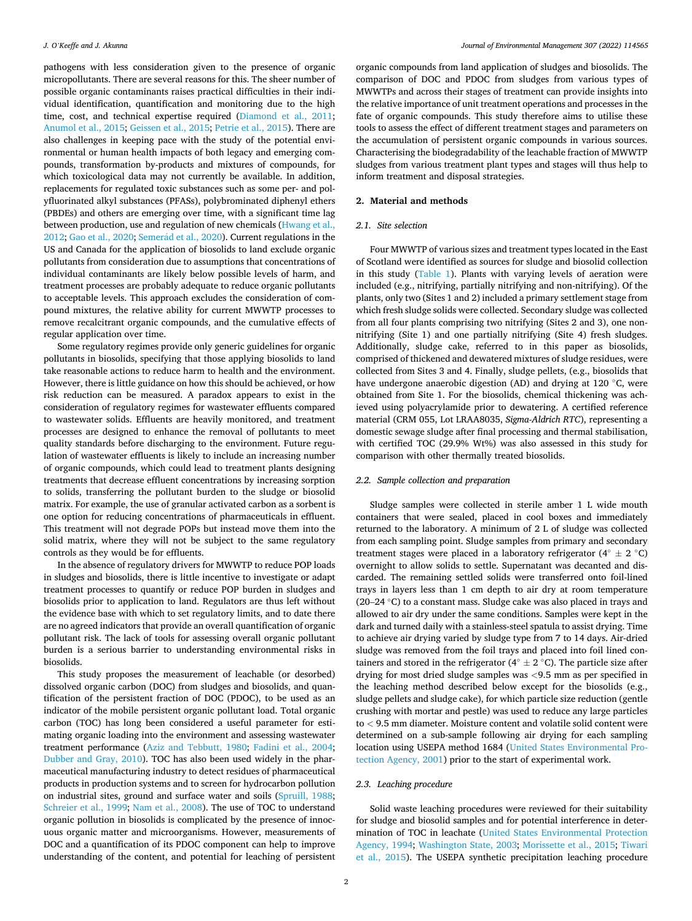pathogens with less consideration given to the presence of organic micropollutants. There are several reasons for this. The sheer number of possible organic contaminants raises practical difficulties in their individual identification, quantification and monitoring due to the high time, cost, and technical expertise required [\(Diamond et al., 2011](#page-8-0); [Anumol et al., 2015;](#page-7-0) [Geissen et al., 2015; Petrie et al., 2015\)](#page-8-0). There are also challenges in keeping pace with the study of the potential environmental or human health impacts of both legacy and emerging compounds, transformation by-products and mixtures of compounds, for which toxicological data may not currently be available. In addition, replacements for regulated toxic substances such as some per- and polyfluorinated alkyl substances (PFASs), polybrominated diphenyl ethers (PBDEs) and others are emerging over time, with a significant time lag between production, use and regulation of new chemicals ([Hwang et al.,](#page-8-0)  [2012; Gao et al., 2020](#page-8-0); Semerád et al., 2020). Current regulations in the US and Canada for the application of biosolids to land exclude organic pollutants from consideration due to assumptions that concentrations of individual contaminants are likely below possible levels of harm, and treatment processes are probably adequate to reduce organic pollutants to acceptable levels. This approach excludes the consideration of compound mixtures, the relative ability for current MWWTP processes to remove recalcitrant organic compounds, and the cumulative effects of regular application over time.

Some regulatory regimes provide only generic guidelines for organic pollutants in biosolids, specifying that those applying biosolids to land take reasonable actions to reduce harm to health and the environment. However, there is little guidance on how this should be achieved, or how risk reduction can be measured. A paradox appears to exist in the consideration of regulatory regimes for wastewater effluents compared to wastewater solids. Effluents are heavily monitored, and treatment processes are designed to enhance the removal of pollutants to meet quality standards before discharging to the environment. Future regulation of wastewater effluents is likely to include an increasing number of organic compounds, which could lead to treatment plants designing treatments that decrease effluent concentrations by increasing sorption to solids, transferring the pollutant burden to the sludge or biosolid matrix. For example, the use of granular activated carbon as a sorbent is one option for reducing concentrations of pharmaceuticals in effluent. This treatment will not degrade POPs but instead move them into the solid matrix, where they will not be subject to the same regulatory controls as they would be for effluents.

In the absence of regulatory drivers for MWWTP to reduce POP loads in sludges and biosolids, there is little incentive to investigate or adapt treatment processes to quantify or reduce POP burden in sludges and biosolids prior to application to land. Regulators are thus left without the evidence base with which to set regulatory limits, and to date there are no agreed indicators that provide an overall quantification of organic pollutant risk. The lack of tools for assessing overall organic pollutant burden is a serious barrier to understanding environmental risks in biosolids.

This study proposes the measurement of leachable (or desorbed) dissolved organic carbon (DOC) from sludges and biosolids, and quantification of the persistent fraction of DOC (PDOC), to be used as an indicator of the mobile persistent organic pollutant load. Total organic carbon (TOC) has long been considered a useful parameter for estimating organic loading into the environment and assessing wastewater treatment performance [\(Aziz and Tebbutt, 1980;](#page-7-0) [Fadini et al., 2004](#page-8-0); [Dubber and Gray, 2010\)](#page-8-0). TOC has also been used widely in the pharmaceutical manufacturing industry to detect residues of pharmaceutical products in production systems and to screen for hydrocarbon pollution on industrial sites, ground and surface water and soils ([Spruill, 1988](#page-8-0); [Schreier et al., 1999; Nam et al., 2008](#page-8-0)). The use of TOC to understand organic pollution in biosolids is complicated by the presence of innocuous organic matter and microorganisms. However, measurements of DOC and a quantification of its PDOC component can help to improve understanding of the content, and potential for leaching of persistent

organic compounds from land application of sludges and biosolids. The comparison of DOC and PDOC from sludges from various types of MWWTPs and across their stages of treatment can provide insights into the relative importance of unit treatment operations and processes in the fate of organic compounds. This study therefore aims to utilise these tools to assess the effect of different treatment stages and parameters on the accumulation of persistent organic compounds in various sources. Characterising the biodegradability of the leachable fraction of MWWTP sludges from various treatment plant types and stages will thus help to inform treatment and disposal strategies.

## **2. Material and methods**

#### *2.1. Site selection*

Four MWWTP of various sizes and treatment types located in the East of Scotland were identified as sources for sludge and biosolid collection in this study [\(Table 1](#page-2-0)). Plants with varying levels of aeration were included (e.g., nitrifying, partially nitrifying and non-nitrifying). Of the plants, only two (Sites 1 and 2) included a primary settlement stage from which fresh sludge solids were collected. Secondary sludge was collected from all four plants comprising two nitrifying (Sites 2 and 3), one nonnitrifying (Site 1) and one partially nitrifying (Site 4) fresh sludges. Additionally, sludge cake, referred to in this paper as biosolids, comprised of thickened and dewatered mixtures of sludge residues, were collected from Sites 3 and 4. Finally, sludge pellets, (e.g., biosolids that have undergone anaerobic digestion (AD) and drying at 120 ◦C, were obtained from Site 1. For the biosolids, chemical thickening was achieved using polyacrylamide prior to dewatering. A certified reference material (CRM 055, Lot LRAA8035, *Sigma-Aldrich RTC*), representing a domestic sewage sludge after final processing and thermal stabilisation, with certified TOC (29.9% Wt%) was also assessed in this study for comparison with other thermally treated biosolids.

#### *2.2. Sample collection and preparation*

Sludge samples were collected in sterile amber 1 L wide mouth containers that were sealed, placed in cool boxes and immediately returned to the laboratory. A minimum of 2 L of sludge was collected from each sampling point. Sludge samples from primary and secondary treatment stages were placed in a laboratory refrigerator (4◦ ± 2 ◦C) overnight to allow solids to settle. Supernatant was decanted and discarded. The remaining settled solids were transferred onto foil-lined trays in layers less than 1 cm depth to air dry at room temperature (20–24 ◦C) to a constant mass. Sludge cake was also placed in trays and allowed to air dry under the same conditions. Samples were kept in the dark and turned daily with a stainless-steel spatula to assist drying. Time to achieve air drying varied by sludge type from 7 to 14 days. Air-dried sludge was removed from the foil trays and placed into foil lined containers and stored in the refrigerator ( $4° \pm 2 °C$ ). The particle size after drying for most dried sludge samples was *<*9.5 mm as per specified in the leaching method described below except for the biosolids (e.g., sludge pellets and sludge cake), for which particle size reduction (gentle crushing with mortar and pestle) was used to reduce any large particles to *<* 9.5 mm diameter. Moisture content and volatile solid content were determined on a sub-sample following air drying for each sampling location using USEPA method 1684 ([United States Environmental Pro](#page-8-0)[tection Agency, 2001\)](#page-8-0) prior to the start of experimental work.

#### *2.3. Leaching procedure*

Solid waste leaching procedures were reviewed for their suitability for sludge and biosolid samples and for potential interference in determination of TOC in leachate ([United States Environmental Protection](#page-8-0)  [Agency, 1994](#page-8-0); [Washington State, 2003](#page-8-0); [Morissette et al., 2015;](#page-8-0) [Tiwari](#page-8-0)  [et al., 2015\)](#page-8-0). The USEPA synthetic precipitation leaching procedure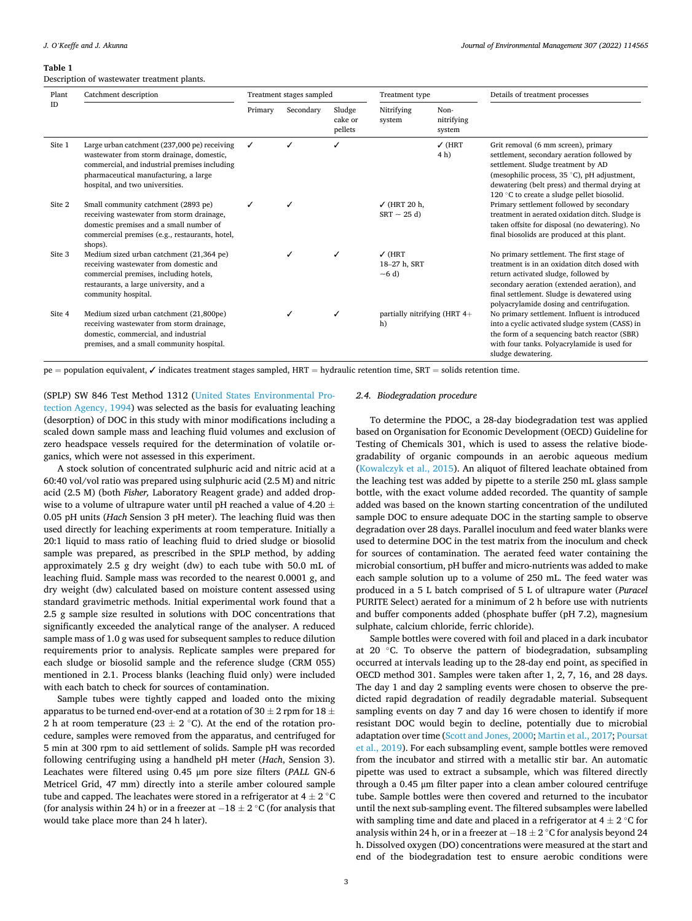#### <span id="page-2-0"></span>**Table 1**

Description of wastewater treatment plants.

| Plant<br>ID | Catchment description                                                                                                                                                                                                  | Treatment stages sampled |           |                              | Treatment type                                |                              | Details of treatment processes                                                                                                                                                                                                                                                                                                                                                                                                                                        |
|-------------|------------------------------------------------------------------------------------------------------------------------------------------------------------------------------------------------------------------------|--------------------------|-----------|------------------------------|-----------------------------------------------|------------------------------|-----------------------------------------------------------------------------------------------------------------------------------------------------------------------------------------------------------------------------------------------------------------------------------------------------------------------------------------------------------------------------------------------------------------------------------------------------------------------|
|             |                                                                                                                                                                                                                        | Primary                  | Secondary | Sludge<br>cake or<br>pellets | Nitrifying<br>system                          | Non-<br>nitrifying<br>system |                                                                                                                                                                                                                                                                                                                                                                                                                                                                       |
| Site 1      | Large urban catchment (237,000 pe) receiving<br>wastewater from storm drainage, domestic,<br>commercial, and industrial premises including<br>pharmaceutical manufacturing, a large<br>hospital, and two universities. | ✓                        |           |                              |                                               | $\sqrt{}$ (HRT<br>4 h)       | Grit removal (6 mm screen), primary<br>settlement, secondary aeration followed by<br>settlement. Sludge treatment by AD<br>(mesophilic process, 35 °C), pH adjustment,<br>dewatering (belt press) and thermal drying at<br>120 °C to create a sludge pellet biosolid.<br>Primary settlement followed by secondary<br>treatment in aerated oxidation ditch. Sludge is<br>taken offsite for disposal (no dewatering). No<br>final biosolids are produced at this plant. |
| Site 2      | Small community catchment (2893 pe)<br>receiving wastewater from storm drainage,<br>domestic premises and a small number of<br>commercial premises (e.g., restaurants, hotel,<br>shops).                               |                          |           |                              | $\checkmark$ (HRT 20 h,<br>$SRT \sim 25$ d)   |                              |                                                                                                                                                                                                                                                                                                                                                                                                                                                                       |
| Site 3      | Medium sized urban catchment (21,364 pe)<br>receiving wastewater from domestic and<br>commercial premises, including hotels,<br>restaurants, a large university, and a<br>community hospital.                          |                          |           |                              | $\sqrt{}$ (HRT<br>18-27 h. SRT<br>$\sim$ 6 d) |                              | No primary settlement. The first stage of<br>treatment is in an oxidation ditch dosed with<br>return activated sludge, followed by<br>secondary aeration (extended aeration), and<br>final settlement. Sludge is dewatered using<br>polyacrylamide dosing and centrifugation.                                                                                                                                                                                         |
| Site 4      | Medium sized urban catchment (21,800pe)<br>receiving wastewater from storm drainage,<br>domestic, commercial, and industrial<br>premises, and a small community hospital.                                              |                          |           |                              | partially nitrifying (HRT $4+$<br>h)          |                              | No primary settlement. Influent is introduced<br>into a cyclic activated sludge system (CASS) in<br>the form of a sequencing batch reactor (SBR)<br>with four tanks. Polyacrylamide is used for<br>sludge dewatering.                                                                                                                                                                                                                                                 |

pe = population equivalent, ✓ indicates treatment stages sampled, HRT = hydraulic retention time, SRT = solids retention time.

(SPLP) SW 846 Test Method 1312 ([United States Environmental Pro](#page-8-0)[tection Agency, 1994\)](#page-8-0) was selected as the basis for evaluating leaching (desorption) of DOC in this study with minor modifications including a scaled down sample mass and leaching fluid volumes and exclusion of zero headspace vessels required for the determination of volatile organics, which were not assessed in this experiment.

A stock solution of concentrated sulphuric acid and nitric acid at a 60:40 vol/vol ratio was prepared using sulphuric acid (2.5 M) and nitric acid (2.5 M) (both *Fisher,* Laboratory Reagent grade) and added dropwise to a volume of ultrapure water until pH reached a value of 4.20  $\pm$ 0.05 pH units (*Hach* Sension 3 pH meter). The leaching fluid was then used directly for leaching experiments at room temperature. Initially a 20:1 liquid to mass ratio of leaching fluid to dried sludge or biosolid sample was prepared, as prescribed in the SPLP method, by adding approximately 2.5 g dry weight (dw) to each tube with 50.0 mL of leaching fluid. Sample mass was recorded to the nearest 0.0001 g, and dry weight (dw) calculated based on moisture content assessed using standard gravimetric methods. Initial experimental work found that a 2.5 g sample size resulted in solutions with DOC concentrations that significantly exceeded the analytical range of the analyser. A reduced sample mass of 1.0 g was used for subsequent samples to reduce dilution requirements prior to analysis. Replicate samples were prepared for each sludge or biosolid sample and the reference sludge (CRM 055) mentioned in 2.1. Process blanks (leaching fluid only) were included with each batch to check for sources of contamination.

Sample tubes were tightly capped and loaded onto the mixing apparatus to be turned end-over-end at a rotation of 30  $\pm$  2 rpm for 18  $\pm$ 2 h at room temperature (23  $\pm$  2 °C). At the end of the rotation procedure, samples were removed from the apparatus, and centrifuged for 5 min at 300 rpm to aid settlement of solids. Sample pH was recorded following centrifuging using a handheld pH meter (*Hach*, Sension 3). Leachates were filtered using 0.45 μm pore size filters (*PALL* GN-6 Metricel Grid, 47 mm) directly into a sterile amber coloured sample tube and capped. The leachates were stored in a refrigerator at 4  $\pm$  2  $^{\circ}$ C (for analysis within 24 h) or in a freezer at  $-18 \pm 2$  °C (for analysis that would take place more than 24 h later).

#### *2.4. Biodegradation procedure*

To determine the PDOC, a 28-day biodegradation test was applied based on Organisation for Economic Development (OECD) Guideline for Testing of Chemicals 301, which is used to assess the relative biodegradability of organic compounds in an aerobic aqueous medium ([Kowalczyk et al., 2015\)](#page-8-0). An aliquot of filtered leachate obtained from the leaching test was added by pipette to a sterile 250 mL glass sample bottle, with the exact volume added recorded. The quantity of sample added was based on the known starting concentration of the undiluted sample DOC to ensure adequate DOC in the starting sample to observe degradation over 28 days. Parallel inoculum and feed water blanks were used to determine DOC in the test matrix from the inoculum and check for sources of contamination. The aerated feed water containing the microbial consortium, pH buffer and micro-nutrients was added to make each sample solution up to a volume of 250 mL. The feed water was produced in a 5 L batch comprised of 5 L of ultrapure water (*Puracel*  PURITE Select) aerated for a minimum of 2 h before use with nutrients and buffer components added (phosphate buffer (pH 7.2), magnesium sulphate, calcium chloride, ferric chloride).

Sample bottles were covered with foil and placed in a dark incubator at 20 ◦C. To observe the pattern of biodegradation, subsampling occurred at intervals leading up to the 28-day end point, as specified in OECD method 301. Samples were taken after 1, 2, 7, 16, and 28 days. The day 1 and day 2 sampling events were chosen to observe the predicted rapid degradation of readily degradable material. Subsequent sampling events on day 7 and day 16 were chosen to identify if more resistant DOC would begin to decline, potentially due to microbial adaptation over time ([Scott and Jones, 2000](#page-8-0); [Martin et al., 2017](#page-8-0); [Poursat](#page-8-0)  [et al., 2019](#page-8-0)). For each subsampling event, sample bottles were removed from the incubator and stirred with a metallic stir bar. An automatic pipette was used to extract a subsample, which was filtered directly through a 0.45 μm filter paper into a clean amber coloured centrifuge tube. Sample bottles were then covered and returned to the incubator until the next sub-sampling event. The filtered subsamples were labelled with sampling time and date and placed in a refrigerator at 4  $\pm$  2 °C for analysis within 24 h, or in a freezer at  $-18 \pm 2$  °C for analysis beyond 24 h. Dissolved oxygen (DO) concentrations were measured at the start and end of the biodegradation test to ensure aerobic conditions were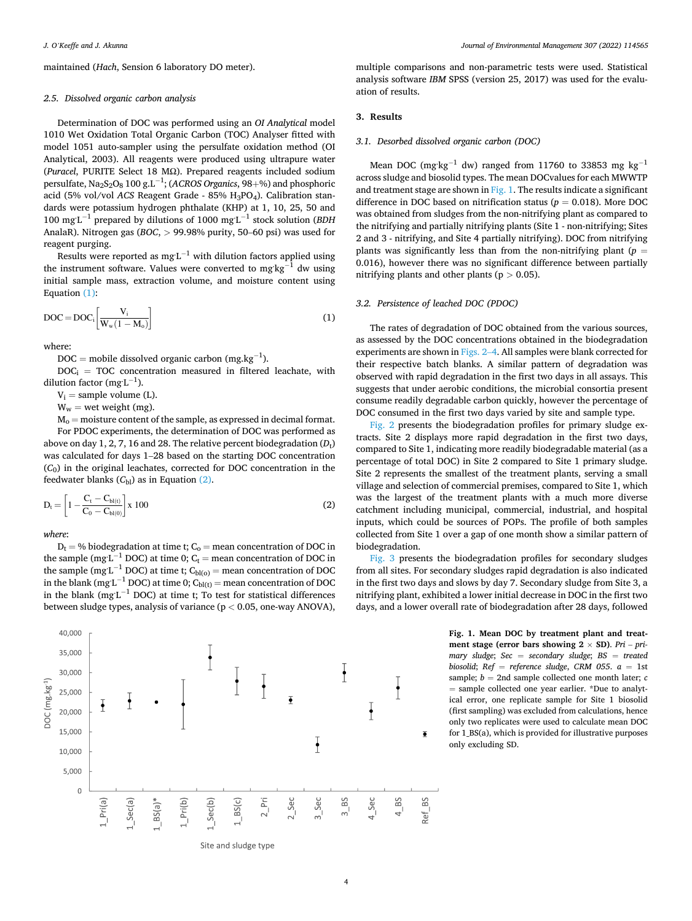maintained (*Hach*, Sension 6 laboratory DO meter).

#### *2.5. Dissolved organic carbon analysis*

Determination of DOC was performed using an *OI Analytical* model 1010 Wet Oxidation Total Organic Carbon (TOC) Analyser fitted with model 1051 auto-sampler using the persulfate oxidation method (OI Analytical, 2003). All reagents were produced using ultrapure water (*Puracel*, PURITE Select 18 MΩ). Prepared reagents included sodium persulfate, Na<sub>2</sub>S<sub>2</sub>O<sub>8</sub> 100 g.L<sup>−1</sup>; (*ACROS Organics*, 98+%) and phosphoric acid (5% vol/vol *ACS* Reagent Grade - 85% H<sub>3</sub>PO<sub>4</sub>). Calibration standards were potassium hydrogen phthalate (KHP) at 1, 10, 25, 50 and 100 mg L<sup>-1</sup> prepared by dilutions of 1000 mg L<sup>-1</sup> stock solution (*BDH* AnalaR). Nitrogen gas (*BOC*, *>* 99.98% purity, 50–60 psi) was used for reagent purging.

Results were reported as mg L $^{-1}$  with dilution factors applied using the instrument software. Values were converted to mg $\text{kg}^{-1}$  dw using initial sample mass, extraction volume, and moisture content using Equation (1):

$$
DOC = DOC_i \left[ \frac{V_i}{W_w (1 - M_o)} \right]
$$
 (1)

where:

DOC = mobile dissolved organic carbon (mg.kg<sup>-1</sup>).

 $DOC<sub>i</sub> = TOC$  concentration measured in filtered leachate, with dilution factor (mg $L^{-1}$ ).

 $V_i$  = sample volume (L).

 $W_w$  = wet weight (mg).

 $M_0$  = moisture content of the sample, as expressed in decimal format. For PDOC experiments, the determination of DOC was performed as above on day  $1, 2, 7, 16$  and  $28$ . The relative percent biodegradation  $(D_t)$ was calculated for days 1–28 based on the starting DOC concentration (*C*0) in the original leachates, corrected for DOC concentration in the feedwater blanks  $(C_{bl})$  as in Equation  $(2)$ .

$$
D_t = \left[1 - \frac{C_t - C_{bl(t)}}{C_0 - C_{bl(0)}}\right] x \ 100\tag{2}
$$

*where*:

 $D_t = \%$  biodegradation at time t;  $C_0$  = mean concentration of DOC in the sample (mg<sup>.L−1</sup> DOC) at time 0; C<sub>t</sub> = mean concentration of DOC in the sample (mg L<sup>-1</sup> DOC) at time t; C<sub>bl(o)</sub> = mean concentration of DOC in the blank (mg L $^{-1}$  DOC) at time 0; C $_{\text{bl(t)}}$  = mean concentration of DOC in the blank (mg $L^{-1}$  DOC) at time t; To test for statistical differences between sludge types, analysis of variance (p *<* 0.05, one-way ANOVA),



multiple comparisons and non-parametric tests were used. Statistical analysis software *IBM* SPSS (version 25, 2017) was used for the evaluation of results.

#### **3. Results**

## *3.1. Desorbed dissolved organic carbon (DOC)*

Mean DOC (mg $kg^{-1}$  dw) ranged from 11760 to 33853 mg kg<sup>-1</sup> across sludge and biosolid types. The mean DOCvalues for each MWWTP and treatment stage are shown in Fig. 1. The results indicate a significant difference in DOC based on nitrification status ( $p = 0.018$ ). More DOC was obtained from sludges from the non-nitrifying plant as compared to the nitrifying and partially nitrifying plants (Site 1 - non-nitrifying; Sites 2 and 3 - nitrifying, and Site 4 partially nitrifying). DOC from nitrifying plants was significantly less than from the non-nitrifying plant ( $p =$ 0.016), however there was no significant difference between partially nitrifying plants and other plants (p *>* 0.05).

#### *3.2. Persistence of leached DOC (PDOC)*

The rates of degradation of DOC obtained from the various sources, as assessed by the DOC concentrations obtained in the biodegradation experiments are shown in [Figs. 2](#page-4-0)–4. All samples were blank corrected for their respective batch blanks. A similar pattern of degradation was observed with rapid degradation in the first two days in all assays. This suggests that under aerobic conditions, the microbial consortia present consume readily degradable carbon quickly, however the percentage of DOC consumed in the first two days varied by site and sample type.

[Fig. 2](#page-4-0) presents the biodegradation profiles for primary sludge extracts. Site 2 displays more rapid degradation in the first two days, compared to Site 1, indicating more readily biodegradable material (as a percentage of total DOC) in Site 2 compared to Site 1 primary sludge. Site 2 represents the smallest of the treatment plants, serving a small village and selection of commercial premises, compared to Site 1, which was the largest of the treatment plants with a much more diverse catchment including municipal, commercial, industrial, and hospital inputs, which could be sources of POPs. The profile of both samples collected from Site 1 over a gap of one month show a similar pattern of biodegradation.

[Fig. 3](#page-4-0) presents the biodegradation profiles for secondary sludges from all sites. For secondary sludges rapid degradation is also indicated in the first two days and slows by day 7. Secondary sludge from Site 3, a nitrifying plant, exhibited a lower initial decrease in DOC in the first two days, and a lower overall rate of biodegradation after 28 days, followed

> **Fig. 1. Mean DOC by treatment plant and treatment stage (error bars showing 2** × **SD)**. *Pri* – *primary sludge*; *Sec* = *secondary sludge*; *BS* = *treated biosolid*; *Ref* = *reference sludge*, *CRM 055*. *a* = 1st sample; *b* = 2nd sample collected one month later; *c*  = sample collected one year earlier. \*Due to analytical error, one replicate sample for Site 1 biosolid (first sampling) was excluded from calculations, hence only two replicates were used to calculate mean DOC for 1\_BS(a), which is provided for illustrative purposes only excluding SD.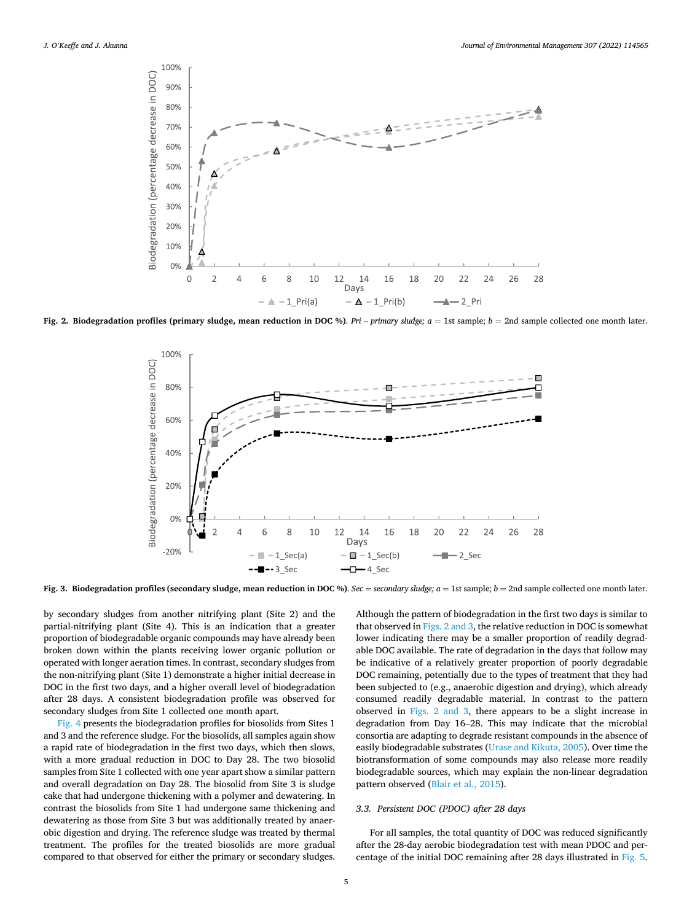<span id="page-4-0"></span>

**Fig. 2. Biodegradation profiles (primary sludge, mean reduction in DOC %)**. *Pri* – *primary sludge; a* = 1st sample; *b* = 2nd sample collected one month later.



Fig. 3. Biodegradation profiles (secondary sludge, mean reduction in DOC %). *Sec* = *secondary sludge; a* = 1st sample; *b* = 2nd sample collected one month later.

by secondary sludges from another nitrifying plant (Site 2) and the partial-nitrifying plant (Site 4). This is an indication that a greater proportion of biodegradable organic compounds may have already been broken down within the plants receiving lower organic pollution or operated with longer aeration times. In contrast, secondary sludges from the non-nitrifying plant (Site 1) demonstrate a higher initial decrease in DOC in the first two days, and a higher overall level of biodegradation after 28 days. A consistent biodegradation profile was observed for secondary sludges from Site 1 collected one month apart.

[Fig. 4](#page-5-0) presents the biodegradation profiles for biosolids from Sites 1 and 3 and the reference sludge. For the biosolids, all samples again show a rapid rate of biodegradation in the first two days, which then slows, with a more gradual reduction in DOC to Day 28. The two biosolid samples from Site 1 collected with one year apart show a similar pattern and overall degradation on Day 28. The biosolid from Site 3 is sludge cake that had undergone thickening with a polymer and dewatering. In contrast the biosolids from Site 1 had undergone same thickening and dewatering as those from Site 3 but was additionally treated by anaerobic digestion and drying. The reference sludge was treated by thermal treatment. The profiles for the treated biosolids are more gradual compared to that observed for either the primary or secondary sludges.

Although the pattern of biodegradation in the first two days is similar to that observed in Figs. 2 and 3, the relative reduction in DOC is somewhat lower indicating there may be a smaller proportion of readily degradable DOC available. The rate of degradation in the days that follow may be indicative of a relatively greater proportion of poorly degradable DOC remaining, potentially due to the types of treatment that they had been subjected to (e.g., anaerobic digestion and drying), which already consumed readily degradable material. In contrast to the pattern observed in Figs. 2 and 3, there appears to be a slight increase in degradation from Day 16–28. This may indicate that the microbial consortia are adapting to degrade resistant compounds in the absence of easily biodegradable substrates ([Urase and Kikuta, 2005\)](#page-8-0). Over time the biotransformation of some compounds may also release more readily biodegradable sources, which may explain the non-linear degradation pattern observed [\(Blair et al., 2015\)](#page-7-0).

## *3.3. Persistent DOC (PDOC) after 28 days*

For all samples, the total quantity of DOC was reduced significantly after the 28-day aerobic biodegradation test with mean PDOC and percentage of the initial DOC remaining after 28 days illustrated in [Fig. 5](#page-5-0).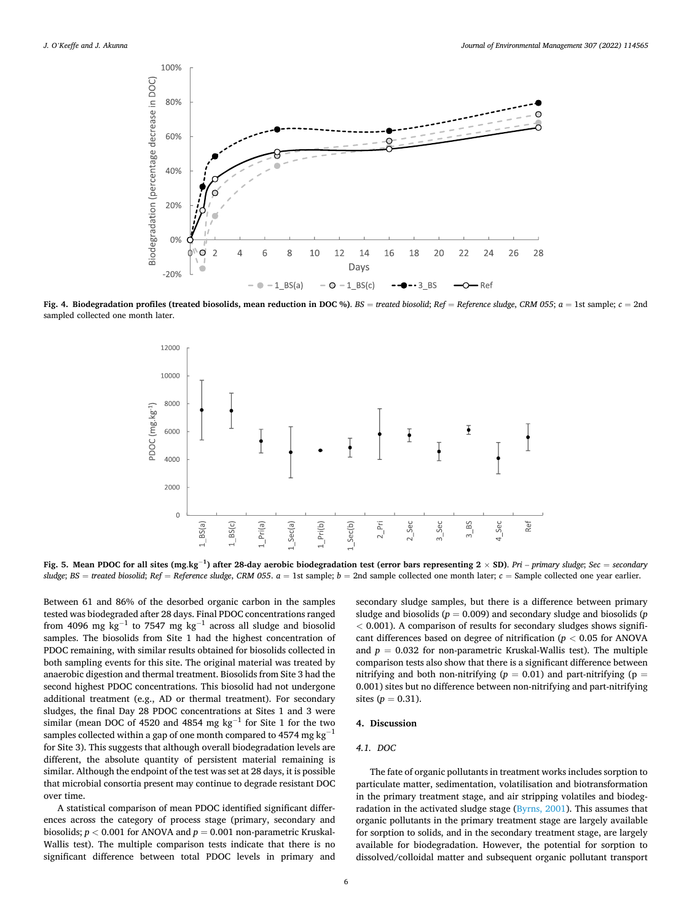<span id="page-5-0"></span>

**Fig. 4. Biodegradation profiles (treated biosolids, mean reduction in DOC %)**. *BS* = *treated biosolid*; *Ref* = *Reference sludge*, *CRM 055*; *a* = 1st sample; *c* = 2nd sampled collected one month later.



Fig. 5. Mean PDOC for all sites (mg.kg<sup>-1</sup>) after 28-day aerobic biodegradation test (error bars representing 2 × SD). Pri – primary sludge; Sec = secondary *sludge*; *BS* = *treated biosolid*; *Ref* = *Reference sludge*, *CRM 055*. *a* = 1st sample; *b* = 2nd sample collected one month later; *c* = Sample collected one year earlier.

Between 61 and 86% of the desorbed organic carbon in the samples tested was biodegraded after 28 days. Final PDOC concentrations ranged from 4096 mg kg<sup>-1</sup> to 7547 mg kg<sup>-1</sup> across all sludge and biosolid samples. The biosolids from Site 1 had the highest concentration of PDOC remaining, with similar results obtained for biosolids collected in both sampling events for this site. The original material was treated by anaerobic digestion and thermal treatment. Biosolids from Site 3 had the second highest PDOC concentrations. This biosolid had not undergone additional treatment (e.g., AD or thermal treatment). For secondary sludges, the final Day 28 PDOC concentrations at Sites 1 and 3 were similar (mean DOC of 4520 and 4854 mg kg<sup>-1</sup> for Site 1 for the two samples collected within a gap of one month compared to 4574 mg  $\rm kg^{-1}$ for Site 3). This suggests that although overall biodegradation levels are different, the absolute quantity of persistent material remaining is similar. Although the endpoint of the test was set at 28 days, it is possible that microbial consortia present may continue to degrade resistant DOC over time.

A statistical comparison of mean PDOC identified significant differences across the category of process stage (primary, secondary and biosolids;  $p < 0.001$  for ANOVA and  $p = 0.001$  non-parametric Kruskal-Wallis test). The multiple comparison tests indicate that there is no significant difference between total PDOC levels in primary and secondary sludge samples, but there is a difference between primary sludge and biosolids (*p* = 0.009) and secondary sludge and biosolids (*p <* 0.001). A comparison of results for secondary sludges shows significant differences based on degree of nitrification (*p <* 0.05 for ANOVA and  $p = 0.032$  for non-parametric Kruskal-Wallis test). The multiple comparison tests also show that there is a significant difference between nitrifying and both non-nitrifying ( $p = 0.01$ ) and part-nitrifying ( $p =$ 0.001) sites but no difference between non-nitrifying and part-nitrifying sites  $(p = 0.31)$ .

## **4. Discussion**

## *4.1. DOC*

The fate of organic pollutants in treatment works includes sorption to particulate matter, sedimentation, volatilisation and biotransformation in the primary treatment stage, and air stripping volatiles and biodegradation in the activated sludge stage ([Byrns, 2001](#page-8-0)). This assumes that organic pollutants in the primary treatment stage are largely available for sorption to solids, and in the secondary treatment stage, are largely available for biodegradation. However, the potential for sorption to dissolved/colloidal matter and subsequent organic pollutant transport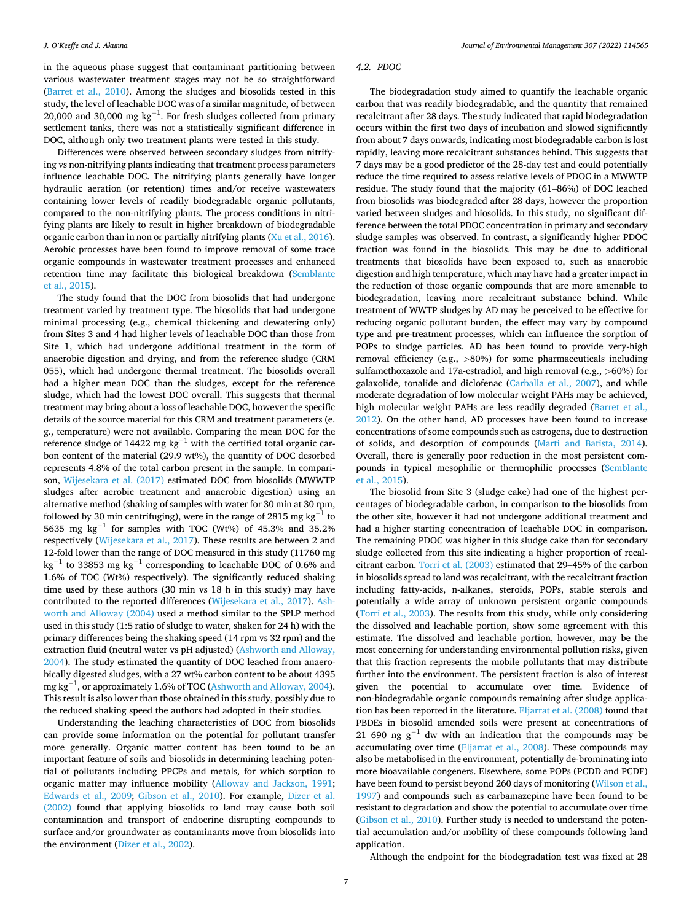in the aqueous phase suggest that contaminant partitioning between various wastewater treatment stages may not be so straightforward ([Barret et al., 2010](#page-7-0)). Among the sludges and biosolids tested in this study, the level of leachable DOC was of a similar magnitude, of between 20,000 and 30,000 mg  $kg^{-1}$ . For fresh sludges collected from primary settlement tanks, there was not a statistically significant difference in DOC, although only two treatment plants were tested in this study.

Differences were observed between secondary sludges from nitrifying vs non-nitrifying plants indicating that treatment process parameters influence leachable DOC. The nitrifying plants generally have longer hydraulic aeration (or retention) times and/or receive wastewaters containing lower levels of readily biodegradable organic pollutants, compared to the non-nitrifying plants. The process conditions in nitrifying plants are likely to result in higher breakdown of biodegradable organic carbon than in non or partially nitrifying plants ([Xu et al., 2016](#page-9-0)). Aerobic processes have been found to improve removal of some trace organic compounds in wastewater treatment processes and enhanced retention time may facilitate this biological breakdown ([Semblante](#page-8-0)  [et al., 2015\)](#page-8-0).

The study found that the DOC from biosolids that had undergone treatment varied by treatment type. The biosolids that had undergone minimal processing (e.g., chemical thickening and dewatering only) from Sites 3 and 4 had higher levels of leachable DOC than those from Site 1, which had undergone additional treatment in the form of anaerobic digestion and drying, and from the reference sludge (CRM 055), which had undergone thermal treatment. The biosolids overall had a higher mean DOC than the sludges, except for the reference sludge, which had the lowest DOC overall. This suggests that thermal treatment may bring about a loss of leachable DOC, however the specific details of the source material for this CRM and treatment parameters (e. g., temperature) were not available. Comparing the mean DOC for the reference sludge of 14422 mg kg<sup>-1</sup> with the certified total organic carbon content of the material (29.9 wt%), the quantity of DOC desorbed represents 4.8% of the total carbon present in the sample. In comparison, [Wijesekara et al. \(2017\)](#page-8-0) estimated DOC from biosolids (MWWTP sludges after aerobic treatment and anaerobic digestion) using an alternative method (shaking of samples with water for 30 min at 30 rpm, followed by 30 min centrifuging), were in the range of 2815 mg kg<sup>-1</sup> to 5635 mg kg<sup>-1</sup> for samples with TOC (Wt%) of 45.3% and 35.2% respectively [\(Wijesekara et al., 2017\)](#page-8-0). These results are between 2 and 12-fold lower than the range of DOC measured in this study (11760 mg kg<sup>-1</sup> to 33853 mg kg<sup>-1</sup> corresponding to leachable DOC of 0.6% and 1.6% of TOC (Wt%) respectively). The significantly reduced shaking time used by these authors (30 min vs 18 h in this study) may have contributed to the reported differences [\(Wijesekara et al., 2017\)](#page-8-0). [Ash](#page-7-0)[worth and Alloway \(2004\)](#page-7-0) used a method similar to the SPLP method used in this study (1:5 ratio of sludge to water, shaken for 24 h) with the primary differences being the shaking speed (14 rpm vs 32 rpm) and the extraction fluid (neutral water vs pH adjusted) [\(Ashworth and Alloway,](#page-7-0)  [2004\)](#page-7-0). The study estimated the quantity of DOC leached from anaerobically digested sludges, with a 27 wt% carbon content to be about 4395 mg kg $^{-1}$ , or approximately 1.6% of TOC ([Ashworth and Alloway, 2004](#page-7-0)). This result is also lower than those obtained in this study, possibly due to the reduced shaking speed the authors had adopted in their studies.

Understanding the leaching characteristics of DOC from biosolids can provide some information on the potential for pollutant transfer more generally. Organic matter content has been found to be an important feature of soils and biosolids in determining leaching potential of pollutants including PPCPs and metals, for which sorption to organic matter may influence mobility [\(Alloway and Jackson, 1991](#page-7-0); [Edwards et al., 2009](#page-8-0); [Gibson et al., 2010](#page-8-0)). For example, [Dizer et al.](#page-8-0)  [\(2002\)](#page-8-0) found that applying biosolids to land may cause both soil contamination and transport of endocrine disrupting compounds to surface and/or groundwater as contaminants move from biosolids into the environment ([Dizer et al., 2002\)](#page-8-0).

## *4.2. PDOC*

The biodegradation study aimed to quantify the leachable organic carbon that was readily biodegradable, and the quantity that remained recalcitrant after 28 days. The study indicated that rapid biodegradation occurs within the first two days of incubation and slowed significantly from about 7 days onwards, indicating most biodegradable carbon is lost rapidly, leaving more recalcitrant substances behind. This suggests that 7 days may be a good predictor of the 28-day test and could potentially reduce the time required to assess relative levels of PDOC in a MWWTP residue. The study found that the majority (61–86%) of DOC leached from biosolids was biodegraded after 28 days, however the proportion varied between sludges and biosolids. In this study, no significant difference between the total PDOC concentration in primary and secondary sludge samples was observed. In contrast, a significantly higher PDOC fraction was found in the biosolids. This may be due to additional treatments that biosolids have been exposed to, such as anaerobic digestion and high temperature, which may have had a greater impact in the reduction of those organic compounds that are more amenable to biodegradation, leaving more recalcitrant substance behind. While treatment of WWTP sludges by AD may be perceived to be effective for reducing organic pollutant burden, the effect may vary by compound type and pre-treatment processes, which can influence the sorption of POPs to sludge particles. AD has been found to provide very-high removal efficiency (e.g., *>*80%) for some pharmaceuticals including sulfamethoxazole and 17a-estradiol, and high removal (e.g., *>*60%) for galaxolide, tonalide and diclofenac ([Carballa et al., 2007](#page-8-0)), and while moderate degradation of low molecular weight PAHs may be achieved, high molecular weight PAHs are less readily degraded ([Barret et al.,](#page-7-0)  [2012\)](#page-7-0). On the other hand, AD processes have been found to increase concentrations of some compounds such as estrogens, due to destruction of solids, and desorption of compounds ([Marti and Batista, 2014](#page-8-0)). Overall, there is generally poor reduction in the most persistent compounds in typical mesophilic or thermophilic processes ([Semblante](#page-8-0)  [et al., 2015\)](#page-8-0).

The biosolid from Site 3 (sludge cake) had one of the highest percentages of biodegradable carbon, in comparison to the biosolids from the other site, however it had not undergone additional treatment and had a higher starting concentration of leachable DOC in comparison. The remaining PDOC was higher in this sludge cake than for secondary sludge collected from this site indicating a higher proportion of recalcitrant carbon. [Torri et al. \(2003\)](#page-8-0) estimated that 29–45% of the carbon in biosolids spread to land was recalcitrant, with the recalcitrant fraction including fatty-acids, n-alkanes, steroids, POPs, stable sterols and potentially a wide array of unknown persistent organic compounds ([Torri et al., 2003](#page-8-0)). The results from this study, while only considering the dissolved and leachable portion, show some agreement with this estimate. The dissolved and leachable portion, however, may be the most concerning for understanding environmental pollution risks, given that this fraction represents the mobile pollutants that may distribute further into the environment. The persistent fraction is also of interest given the potential to accumulate over time. Evidence of non-biodegradable organic compounds remaining after sludge application has been reported in the literature. [Eljarrat et al. \(2008\)](#page-8-0) found that PBDEs in biosolid amended soils were present at concentrations of 21–690 ng  $g^{-1}$  dw with an indication that the compounds may be accumulating over time [\(Eljarrat et al., 2008\)](#page-8-0). These compounds may also be metabolised in the environment, potentially de-brominating into more bioavailable congeners. Elsewhere, some POPs (PCDD and PCDF) have been found to persist beyond 260 days of monitoring [\(Wilson et al.,](#page-9-0)  [1997\)](#page-9-0) and compounds such as carbamazepine have been found to be resistant to degradation and show the potential to accumulate over time ([Gibson et al., 2010\)](#page-8-0). Further study is needed to understand the potential accumulation and/or mobility of these compounds following land application.

Although the endpoint for the biodegradation test was fixed at 28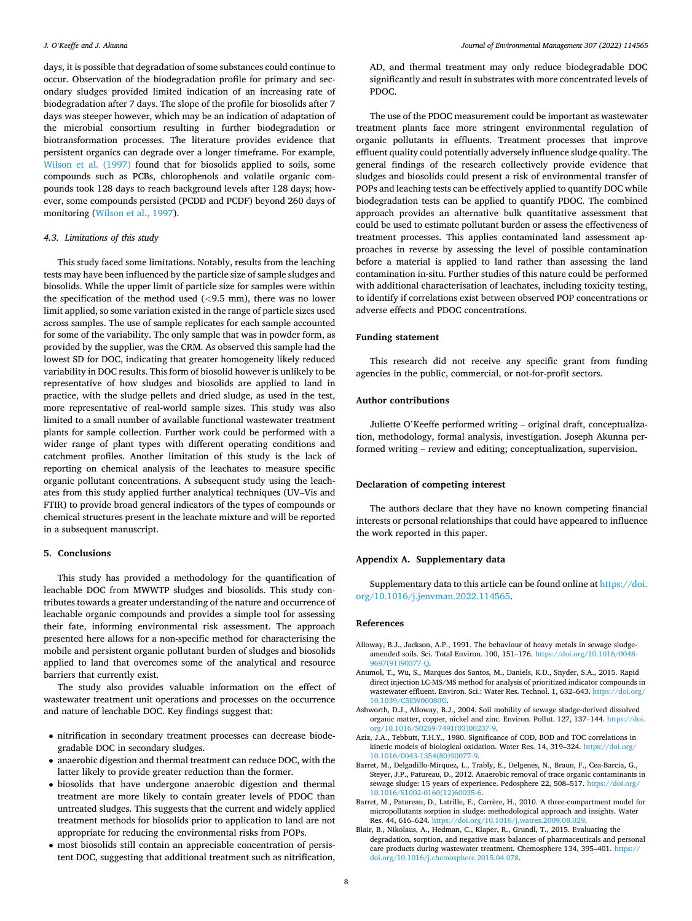<span id="page-7-0"></span>days, it is possible that degradation of some substances could continue to occur. Observation of the biodegradation profile for primary and secondary sludges provided limited indication of an increasing rate of biodegradation after 7 days. The slope of the profile for biosolids after 7 days was steeper however, which may be an indication of adaptation of the microbial consortium resulting in further biodegradation or biotransformation processes. The literature provides evidence that persistent organics can degrade over a longer timeframe. For example, [Wilson et al. \(1997\)](#page-9-0) found that for biosolids applied to soils, some compounds such as PCBs, chlorophenols and volatile organic compounds took 128 days to reach background levels after 128 days; however, some compounds persisted (PCDD and PCDF) beyond 260 days of monitoring [\(Wilson et al., 1997](#page-9-0)).

#### *4.3. Limitations of this study*

This study faced some limitations. Notably, results from the leaching tests may have been influenced by the particle size of sample sludges and biosolids. While the upper limit of particle size for samples were within the specification of the method used (*<*9.5 mm), there was no lower limit applied, so some variation existed in the range of particle sizes used across samples. The use of sample replicates for each sample accounted for some of the variability. The only sample that was in powder form, as provided by the supplier, was the CRM. As observed this sample had the lowest SD for DOC, indicating that greater homogeneity likely reduced variability in DOC results. This form of biosolid however is unlikely to be representative of how sludges and biosolids are applied to land in practice, with the sludge pellets and dried sludge, as used in the test, more representative of real-world sample sizes. This study was also limited to a small number of available functional wastewater treatment plants for sample collection. Further work could be performed with a wider range of plant types with different operating conditions and catchment profiles. Another limitation of this study is the lack of reporting on chemical analysis of the leachates to measure specific organic pollutant concentrations. A subsequent study using the leachates from this study applied further analytical techniques (UV–Vis and FTIR) to provide broad general indicators of the types of compounds or chemical structures present in the leachate mixture and will be reported in a subsequent manuscript.

#### **5. Conclusions**

This study has provided a methodology for the quantification of leachable DOC from MWWTP sludges and biosolids. This study contributes towards a greater understanding of the nature and occurrence of leachable organic compounds and provides a simple tool for assessing their fate, informing environmental risk assessment. The approach presented here allows for a non-specific method for characterising the mobile and persistent organic pollutant burden of sludges and biosolids applied to land that overcomes some of the analytical and resource barriers that currently exist.

The study also provides valuable information on the effect of wastewater treatment unit operations and processes on the occurrence and nature of leachable DOC. Key findings suggest that:

- nitrification in secondary treatment processes can decrease biodegradable DOC in secondary sludges.
- anaerobic digestion and thermal treatment can reduce DOC, with the latter likely to provide greater reduction than the former.
- biosolids that have undergone anaerobic digestion and thermal treatment are more likely to contain greater levels of PDOC than untreated sludges. This suggests that the current and widely applied treatment methods for biosolids prior to application to land are not appropriate for reducing the environmental risks from POPs.
- most biosolids still contain an appreciable concentration of persistent DOC, suggesting that additional treatment such as nitrification,

AD, and thermal treatment may only reduce biodegradable DOC significantly and result in substrates with more concentrated levels of PDOC.

The use of the PDOC measurement could be important as wastewater treatment plants face more stringent environmental regulation of organic pollutants in effluents. Treatment processes that improve effluent quality could potentially adversely influence sludge quality. The general findings of the research collectively provide evidence that sludges and biosolids could present a risk of environmental transfer of POPs and leaching tests can be effectively applied to quantify DOC while biodegradation tests can be applied to quantify PDOC. The combined approach provides an alternative bulk quantitative assessment that could be used to estimate pollutant burden or assess the effectiveness of treatment processes. This applies contaminated land assessment approaches in reverse by assessing the level of possible contamination before a material is applied to land rather than assessing the land contamination in-situ. Further studies of this nature could be performed with additional characterisation of leachates, including toxicity testing, to identify if correlations exist between observed POP concentrations or adverse effects and PDOC concentrations.

#### **Funding statement**

This research did not receive any specific grant from funding agencies in the public, commercial, or not-for-profit sectors.

## **Author contributions**

Juliette O'Keeffe performed writing – original draft, conceptualization, methodology, formal analysis, investigation. Joseph Akunna performed writing – review and editing; conceptualization, supervision.

## **Declaration of competing interest**

The authors declare that they have no known competing financial interests or personal relationships that could have appeared to influence the work reported in this paper.

## **Appendix A. Supplementary data**

Supplementary data to this article can be found online at [https://doi.](https://doi.org/10.1016/j.jenvman.2022.114565)  [org/10.1016/j.jenvman.2022.114565](https://doi.org/10.1016/j.jenvman.2022.114565).

#### **References**

- Alloway, B.J., Jackson, A.P., 1991. The behaviour of heavy metals in sewage sludgeamended soils. Sci. Total Environ. 100, 151–176. [https://doi.org/10.1016/0048-](https://doi.org/10.1016/0048-9697(91)90377-Q) [9697\(91\)90377-Q.](https://doi.org/10.1016/0048-9697(91)90377-Q)
- Anumol, T., Wu, S., Marques dos Santos, M., Daniels, K.D., Snyder, S.A., 2015. Rapid direct injection LC-MS/MS method for analysis of prioritized indicator compounds in wastewater effluent. Environ. Sci.: Water Res. Technol. 1, 632–643. [https://doi.org/](https://doi.org/10.1039/C5EW00080G)  [10.1039/C5EW00080G.](https://doi.org/10.1039/C5EW00080G)
- Ashworth, D.J., Alloway, B.J., 2004. Soil mobility of sewage sludge-derived dissolved organic matter, copper, nickel and zinc. Environ. Pollut. 127, 137–144. [https://doi.](https://doi.org/10.1016/S0269-7491(03)00237-9)  [org/10.1016/S0269-7491\(03\)00237-9](https://doi.org/10.1016/S0269-7491(03)00237-9).
- Aziz, J.A., Tebbutt, T.H.Y., 1980. Significance of COD, BOD and TOC correlations in kinetic models of biological oxidation. Water Res. 14, 319–324. [https://doi.org/](https://doi.org/10.1016/0043-1354(80)90077-9)  [10.1016/0043-1354\(80\)90077-9](https://doi.org/10.1016/0043-1354(80)90077-9).
- Barret, M., Delgadillo-Mirquez, L., Trably, E., Delgenes, N., Braun, F., Cea-Barcia, G., Steyer, J.P., Patureau, D., 2012. Anaerobic removal of trace organic contaminants in sewage sludge: 15 years of experience. Pedosphere 22, 508–517. [https://doi.org/](https://doi.org/10.1016/S1002-0160(12)60035-6)  [10.1016/S1002-0160\(12\)60035-6.](https://doi.org/10.1016/S1002-0160(12)60035-6)
- Barret, M., Patureau, D., Latrille, E., Carrère, H., 2010. A three-compartment model for micropollutants sorption in sludge: methodological approach and insights. Water Res. 44, 616–624. [https://doi.org/10.1016/j.watres.2009.08.029.](https://doi.org/10.1016/j.watres.2009.08.029)
- Blair, B., Nikolaus, A., Hedman, C., Klaper, R., Grundl, T., 2015. Evaluating the degradation, sorption, and negative mass balances of pharmaceuticals and personal care products during wastewater treatment. Chemosphere 134, 395–401. [https://](https://doi.org/10.1016/j.chemosphere.2015.04.078) [doi.org/10.1016/j.chemosphere.2015.04.078.](https://doi.org/10.1016/j.chemosphere.2015.04.078)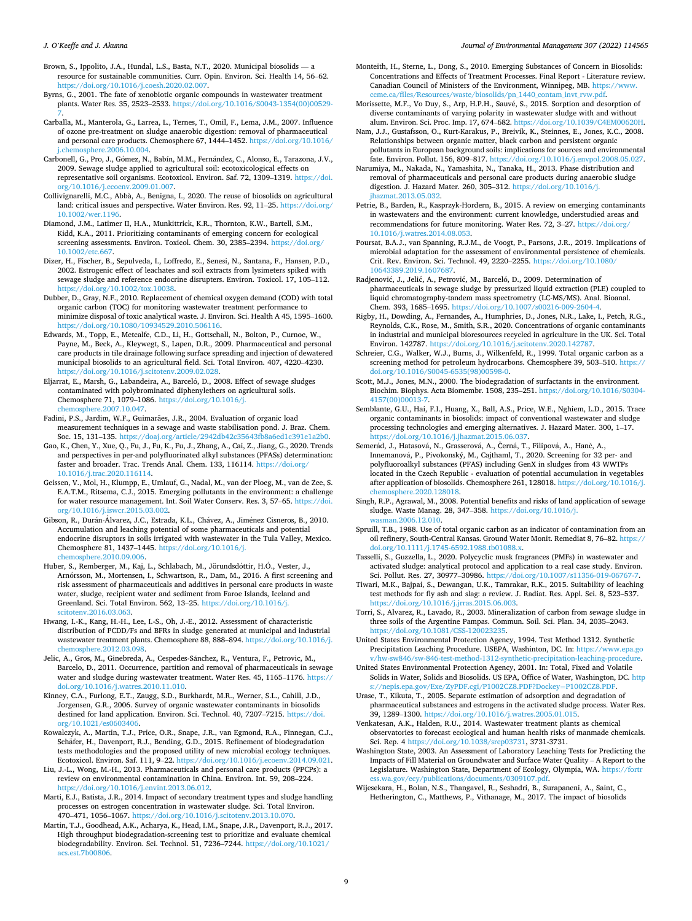<span id="page-8-0"></span>Brown, S., Ippolito, J.A., Hundal, L.S., Basta, N.T., 2020. Municipal biosolids resource for sustainable communities. Curr. Opin. Environ. Sci. Health 14, 56–62. <https://doi.org/10.1016/j.coesh.2020.02.007>.

Byrns, G., 2001. The fate of xenobiotic organic compounds in wastewater treatment plants. Water Res. 35, 2523–2533. [https://doi.org/10.1016/S0043-1354\(00\)00529-](https://doi.org/10.1016/S0043-1354(00)00529-7)  [7](https://doi.org/10.1016/S0043-1354(00)00529-7).

Carballa, M., Manterola, G., Larrea, L., Ternes, T., Omil, F., Lema, J.M., 2007. Influence of ozone pre-treatment on sludge anaerobic digestion: removal of pharmaceutical and personal care products. Chemosphere 67, 1444–1452. [https://doi.org/10.1016/](https://doi.org/10.1016/j.chemosphere.2006.10.004)  [j.chemosphere.2006.10.004](https://doi.org/10.1016/j.chemosphere.2006.10.004).

Carbonell, G., Pro, J., Gómez, N., Babín, M.M., Fernández, C., Alonso, E., Tarazona, J.V., 2009. Sewage sludge applied to agricultural soil: ecotoxicological effects on representative soil organisms. Ecotoxicol. Environ. Saf. 72, 1309–1319. [https://doi.](https://doi.org/10.1016/j.ecoenv.2009.01.007)  [org/10.1016/j.ecoenv.2009.01.007](https://doi.org/10.1016/j.ecoenv.2009.01.007).

Collivignarelli, M.C., Abbà, A., Benigna, I., 2020. The reuse of biosolids on agricultural land: critical issues and perspective. Water Environ. Res. 92, 11–25. [https://doi.org/](https://doi.org/10.1002/wer.1196)  [10.1002/wer.1196.](https://doi.org/10.1002/wer.1196)

Diamond, J.M., Latimer II, H.A., Munkittrick, K.R., Thornton, K.W., Bartell, S.M., Kidd, K.A., 2011. Prioritizing contaminants of emerging concern for ecological screening assessments. Environ. Toxicol. Chem. 30, 2385–2394. [https://doi.org/](https://doi.org/10.1002/etc.667)  [10.1002/etc.667.](https://doi.org/10.1002/etc.667)

Dizer, H., Fischer, B., Sepulveda, I., Loffredo, E., Senesi, N., Santana, F., Hansen, P.D., 2002. Estrogenic effect of leachates and soil extracts from lysimeters spiked with sewage sludge and reference endocrine disrupters. Environ. Toxicol. 17, 105–112. [https://doi.org/10.1002/tox.10038.](https://doi.org/10.1002/tox.10038)

Dubber, D., Gray, N.F., 2010. Replacement of chemical oxygen demand (COD) with total organic carbon (TOC) for monitoring wastewater treatment performance to minimize disposal of toxic analytical waste. J. Environ. Sci. Health A 45, 1595–1600. [https://doi.org/10.1080/10934529.2010.506116.](https://doi.org/10.1080/10934529.2010.506116)

Edwards, M., Topp, E., Metcalfe, C.D., Li, H., Gottschall, N., Bolton, P., Curnoe, W., Payne, M., Beck, A., Kleywegt, S., Lapen, D.R., 2009. Pharmaceutical and personal care products in tile drainage following surface spreading and injection of dewatered municipal biosolids to an agricultural field. Sci. Total Environ. 407, 4220–4230. <https://doi.org/10.1016/j.scitotenv.2009.02.028>.

Eljarrat, E., Marsh, G., Labandeira, A., Barceló, D., 2008. Effect of sewage sludges contaminated with polybrominated diphenylethers on agricultural soils. Chemosphere 71, 1079–1086. [https://doi.org/10.1016/j.](https://doi.org/10.1016/j.chemosphere.2007.10.047) [chemosphere.2007.10.047](https://doi.org/10.1016/j.chemosphere.2007.10.047).

Fadini, P.S., Jardim, W.F., Guimarães, J.R., 2004. Evaluation of organic load measurement techniques in a sewage and waste stabilisation pond. J. Braz. Chem. Soc. 15, 131–135. [https://doaj.org/article/2942db42c35643fb8a6ed1c391e1a2b0.](https://doaj.org/article/2942db42c35643fb8a6ed1c391e1a2b0)

Gao, K., Chen, Y., Xue, Q., Fu, J., Fu, K., Fu, J., Zhang, A., Cai, Z., Jiang, G., 2020. Trends and perspectives in per-and polyfluorinated alkyl substances (PFASs) determination: faster and broader. Trac. Trends Anal. Chem. 133, 116114. [https://doi.org/](https://doi.org/10.1016/j.trac.2020.116114) [10.1016/j.trac.2020.116114.](https://doi.org/10.1016/j.trac.2020.116114)

Geissen, V., Mol, H., Klumpp, E., Umlauf, G., Nadal, M., van der Ploeg, M., van de Zee, S. E.A.T.M., Ritsema, C.J., 2015. Emerging pollutants in the environment: a challenge for water resource management. Int. Soil Water Conserv. Res. 3, 57–65. [https://doi.](https://doi.org/10.1016/j.iswcr.2015.03.002)  [org/10.1016/j.iswcr.2015.03.002.](https://doi.org/10.1016/j.iswcr.2015.03.002)

Gibson, R., Durán-Álvarez, J.C., Estrada, K.L., Chávez, A., Jiménez Cisneros, B., 2010. Accumulation and leaching potential of some pharmaceuticals and potential endocrine disruptors in soils irrigated with wastewater in the Tula Valley, Mexico. Chemosphere 81, 1437–1445. [https://doi.org/10.1016/j.](https://doi.org/10.1016/j.chemosphere.2010.09.006) [chemosphere.2010.09.006](https://doi.org/10.1016/j.chemosphere.2010.09.006).

Huber, S., Remberger, M., Kaj, L., Schlabach, M., Jörundsdóttir, H.Ó., Vester, J., Arnórsson, M., Mortensen, I., Schwartson, R., Dam, M., 2016. A first screening and risk assessment of pharmaceuticals and additives in personal care products in waste water, sludge, recipient water and sediment from Faroe Islands, Iceland and Greenland. Sci. Total Environ. 562, 13–25. [https://doi.org/10.1016/j.](https://doi.org/10.1016/j.scitotenv.2016.03.063) scitoteny.2016.03.063

Hwang, I.-K., Kang, H.-H., Lee, I.-S., Oh, J.-E., 2012. Assessment of characteristic distribution of PCDD/Fs and BFRs in sludge generated at municipal and industrial wastewater treatment plants. Chemosphere 88, 888–894. [https://doi.org/10.1016/j.](https://doi.org/10.1016/j.chemosphere.2012.03.098)  [chemosphere.2012.03.098](https://doi.org/10.1016/j.chemosphere.2012.03.098).

Jelic, A., Gros, M., Ginebreda, A., Cespedes-Sánchez, R., Ventura, F., Petrovic, M., Barcelo, D., 2011. Occurrence, partition and removal of pharmaceuticals in sewage water and sludge during wastewater treatment. Water Res. 45, 1165–1176. [https://](https://doi.org/10.1016/j.watres.2010.11.010)  [doi.org/10.1016/j.watres.2010.11.010](https://doi.org/10.1016/j.watres.2010.11.010).

Kinney, C.A., Furlong, E.T., Zaugg, S.D., Burkhardt, M.R., Werner, S.L., Cahill, J.D., Jorgensen, G.R., 2006. Survey of organic wastewater contaminants in biosolids destined for land application. Environ. Sci. Technol. 40, 7207–7215. [https://doi.](https://doi.org/10.1021/es0603406) rg/10.1021/es0603406

Kowalczyk, A., Martin, T.J., Price, O.R., Snape, J.R., van Egmond, R.A., Finnegan, C.J., Schäfer, H., Davenport, R.J., Bending, G.D., 2015. Refinement of biodegradation tests methodologies and the proposed utility of new microbial ecology techniques. Ecotoxicol. Environ. Saf. 111, 9–22. [https://doi.org/10.1016/j.ecoenv.2014.09.021.](https://doi.org/10.1016/j.ecoenv.2014.09.021)

Liu, J.-L., Wong, M.-H., 2013. Pharmaceuticals and personal care products (PPCPs): a review on environmental contamination in China. Environ. Int. 59, 208–224. [https://doi.org/10.1016/j.envint.2013.06.012.](https://doi.org/10.1016/j.envint.2013.06.012)

Marti, E.J., Batista, J.R., 2014. Impact of secondary treatment types and sludge handling processes on estrogen concentration in wastewater sludge. Sci. Total Environ. 470–471, 1056–1067. <https://doi.org/10.1016/j.scitotenv.2013.10.070>.

Martin, T.J., Goodhead, A.K., Acharya, K., Head, I.M., Snape, J.R., Davenport, R.J., 2017. High throughput biodegradation-screening test to prioritize and evaluate chemical biodegradability. Environ. Sci. Technol. 51, 7236–7244. [https://doi.org/10.1021/](https://doi.org/10.1021/acs.est.7b00806) [acs.est.7b00806.](https://doi.org/10.1021/acs.est.7b00806)

Monteith, H., Sterne, L., Dong, S., 2010. Emerging Substances of Concern in Biosolids: Concentrations and Effects of Treatment Processes. Final Report - Literature review. Canadian Council of Ministers of the Environment, Winnipeg, MB. https:/ [ccme.ca/files/Resources/waste/biosolids/pn\\_1440\\_contam\\_invt\\_rvw.pdf](https://www.ccme.ca/files/Resources/waste/biosolids/pn_1440_contam_invt_rvw.pdf).

Morissette, M.F., Vo Duy, S., Arp, H.P.H., Sauvé, S., 2015. Sorption and desorption of diverse contaminants of varying polarity in wastewater sludge with and without alum Environ Sci Proc Jmn 17 674–682 https://doi.org/10.1039/C4EM00620H alum. Environ. Sci. Proc. Imp. 17, 674–682. https://doi.org/10.1039/C4EM

Nam, J.J., Gustafsson, O., Kurt-Karakus, P., Breivik, K., Steinnes, E., Jones, K.C., 2008. Relationships between organic matter, black carbon and persistent organic pollutants in European background soils: implications for sources and environmental fate. Environ. Pollut. 156, 809–817. [https://doi.org/10.1016/j.envpol.2008.05.027.](https://doi.org/10.1016/j.envpol.2008.05.027)

Narumiya, M., Nakada, N., Yamashita, N., Tanaka, H., 2013. Phase distribution and removal of pharmaceuticals and personal care products during anaerobic sludge digestion. J. Hazard Mater. 260, 305–312. [https://doi.org/10.1016/j.](https://doi.org/10.1016/j.jhazmat.2013.05.032)  [jhazmat.2013.05.032.](https://doi.org/10.1016/j.jhazmat.2013.05.032)

Petrie, B., Barden, R., Kasprzyk-Hordern, B., 2015. A review on emerging contaminants in wastewaters and the environment: current knowledge, understudied areas and recommendations for future monitoring. Water Res. 72, 3–27. [https://doi.org/](https://doi.org/10.1016/j.watres.2014.08.053)  [10.1016/j.watres.2014.08.053.](https://doi.org/10.1016/j.watres.2014.08.053)

Poursat, B.A.J., van Spanning, R.J.M., de Voogt, P., Parsons, J.R., 2019. Implications of microbial adaptation for the assessment of environmental persistence of chemicals. Crit. Rev. Environ. Sci. Technol. 49, 2220–2255. [https://doi.org/10.1080/](https://doi.org/10.1080/10643389.2019.1607687) [10643389.2019.1607687](https://doi.org/10.1080/10643389.2019.1607687).

Radjenović, J., Jelić, A., Petrović, M., Barceló, D., 2009. Determination of pharmaceuticals in sewage sludge by pressurized liquid extraction (PLE) coupled to liquid chromatography-tandem mass spectrometry (LC-MS/MS). Anal. Bioanal. Chem. 393, 1685–1695. <https://doi.org/10.1007/s00216-009-2604-4>.

Rigby, H., Dowding, A., Fernandes, A., Humphries, D., Jones, N.R., Lake, I., Petch, R.G., Reynolds, C.K., Rose, M., Smith, S.R., 2020. Concentrations of organic contaminants in industrial and municipal bioresources recycled in agriculture in the UK. Sci. Total Environ. 142787. <https://doi.org/10.1016/j.scitotenv.2020.142787>.

Schreier, C.G., Walker, W.J., Burns, J., Wilkenfeld, R., 1999. Total organic carbon as a screening method for petroleum hydrocarbons. Chemosphere 39, 503–510. [https://](https://doi.org/10.1016/S0045-6535(98)00598-0)  [doi.org/10.1016/S0045-6535\(98\)00598-0.](https://doi.org/10.1016/S0045-6535(98)00598-0)

Scott, M.J., Jones, M.N., 2000. The biodegradation of surfactants in the environment. Biochim. Biophys. Acta Biomembr. 1508, 235–251. [https://doi.org/10.1016/S0304-](https://doi.org/10.1016/S0304-4157(00)00013-7)  4157(00)00013

Semblante, G.U., Hai, F.I., Huang, X., Ball, A.S., Price, W.E., Nghiem, L.D., 2015. Trace organic contaminants in biosolids: impact of conventional wastewater and sludge processing technologies and emerging alternatives. J. Hazard Mater. 300, 1–17. <https://doi.org/10.1016/j.jhazmat.2015.06.037>.

Semerád, J., Hatasová, N., Grasserová, A., Černá, T., Filipová, A., Hanč, A., Innemanová, P., Pivokonský, M., Cajthaml, T., 2020. Screening for 32 per- and polyfluoroalkyl substances (PFAS) including GenX in sludges from 43 WWTPs located in the Czech Republic - evaluation of potential accumulation in vegetables after application of biosolids. Chemosphere 261, 128018. [https://doi.org/10.1016/j.](https://doi.org/10.1016/j.chemosphere.2020.128018)  here.2020.128018.

Singh, R.P., Agrawal, M., 2008. Potential benefits and risks of land application of sewage sludge. Waste Manag. 28, 347–358. [https://doi.org/10.1016/j.](https://doi.org/10.1016/j.wasman.2006.12.010)  [wasman.2006.12.010](https://doi.org/10.1016/j.wasman.2006.12.010).

Spruill, T.B., 1988. Use of total organic carbon as an indicator of contamination from an oil refinery, South-Central Kansas. Ground Water Monit. Remediat 8, 76–82. [https://](https://doi.org/10.1111/j.1745-6592.1988.tb01088.x)  [doi.org/10.1111/j.1745-6592.1988.tb01088.x](https://doi.org/10.1111/j.1745-6592.1988.tb01088.x).

Tasselli, S., Guzzella, L., 2020. Polycyclic musk fragrances (PMFs) in wastewater and activated sludge: analytical protocol and application to a real case study. Environ. Sci. Pollut. Res. 27, 30977–30986. [https://doi.org/10.1007/s11356-019-06767-7.](https://doi.org/10.1007/s11356-019-06767-7)

Tiwari, M.K., Bajpai, S., Dewangan, U.K., Tamrakar, R.K., 2015. Suitability of leaching test methods for fly ash and slag: a review. J. Radiat. Res. Appl. Sci. 8, 523–537. <https://doi.org/10.1016/j.jrras.2015.06.003>.

Torri, S., Alvarez, R., Lavado, R., 2003. Mineralization of carbon from sewage sludge in three soils of the Argentine Pampas. Commun. Soil. Sci. Plan. 34, 2035–2043. <https://doi.org/10.1081/CSS-120023235>.

United States Environmental Protection Agency, 1994. Test Method 1312. Synthetic Precipitation Leaching Procedure. USEPA, Washinton, DC. In: [https://www.epa.go](https://www.epa.gov/hw-sw846/sw-846-test-method-1312-synthetic-precipitation-leaching-procedure)  [v/hw-sw846/sw-846-test-method-1312-synthetic-precipitation-leaching-procedure.](https://www.epa.gov/hw-sw846/sw-846-test-method-1312-synthetic-precipitation-leaching-procedure)

United States Environmental Protection Agency, 2001. In: Total, Fixed and Volatile Solids in Water, Solids and Biosolids. US EPA, Office of Water, Washington, DC. [http](https://nepis.epa.gov/Exe/ZyPDF.cgi/P1002CZ8.PDF?Dockey=P1002CZ8.PDF)  v/Exe/ZyPDF.cgi/P1002CZ8.PDF?Dockey=P1002CZ8.PDF

Urase, T., Kikuta, T., 2005. Separate estimation of adsorption and degradation of pharmaceutical substances and estrogens in the activated sludge process. Water Res. 39, 1289–1300.<https://doi.org/10.1016/j.watres.2005.01.015>.

Venkatesan, A.K., Halden, R.U., 2014. Wastewater treatment plants as chemical observatories to forecast ecological and human health risks of manmade chemicals. Sci. Rep. 4 [https://doi.org/10.1038/srep03731,](https://doi.org/10.1038/srep03731) 3731-3731.

Washington State, 2003. An Assessment of Laboratory Leaching Tests for Predicting the Impacts of Fill Material on Groundwater and Surface Water Quality – A Report to the Legislature. Washington State, Department of Ecology, Olympia, WA. [https://fortr](https://fortress.wa.gov/ecy/publications/documents/0309107.pdf) wa.gov/ecy/publications/documents/0309107.pdf.

Wijesekara, H., Bolan, N.S., Thangavel, R., Seshadri, B., Surapaneni, A., Saint, C., Hetherington, C., Matthews, P., Vithanage, M., 2017. The impact of biosolids